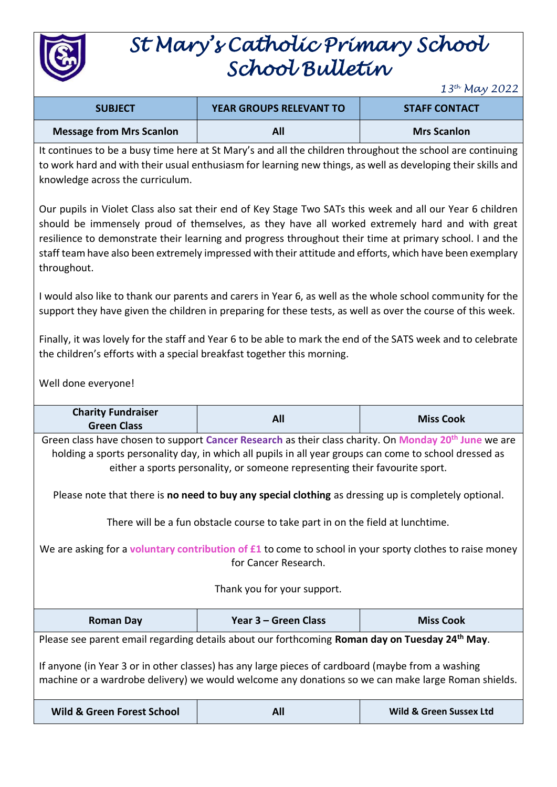

# *St Mary's Catholic Primary School School Bulletin*

*13th May 2022*

| <b>SUBJECT</b>                  | <b>YEAR GROUPS RELEVANT TO</b> | <b>STAFF CONTACT</b> |
|---------------------------------|--------------------------------|----------------------|
| <b>Message from Mrs Scanlon</b> | All                            | <b>Mrs Scanlon</b>   |

It continues to be a busy time here at St Mary's and all the children throughout the school are continuing to work hard and with their usual enthusiasm for learning new things, as well as developing their skills and knowledge across the curriculum.

Our pupils in Violet Class also sat their end of Key Stage Two SATs this week and all our Year 6 children should be immensely proud of themselves, as they have all worked extremely hard and with great resilience to demonstrate their learning and progress throughout their time at primary school. I and the staff team have also been extremely impressed with their attitude and efforts, which have been exemplary throughout.

I would also like to thank our parents and carers in Year 6, as well as the whole school community for the support they have given the children in preparing for these tests, as well as over the course of this week.

Finally, it was lovely for the staff and Year 6 to be able to mark the end of the SATS week and to celebrate the children's efforts with a special breakfast together this morning.

Well done everyone!

| <b>Charity Fundraiser</b><br><b>Green Class</b>                                                                                                                                                                                                                                                                                                                                                                                                                                                                                                                                                                         | All                  |                                    |  |  |  |
|-------------------------------------------------------------------------------------------------------------------------------------------------------------------------------------------------------------------------------------------------------------------------------------------------------------------------------------------------------------------------------------------------------------------------------------------------------------------------------------------------------------------------------------------------------------------------------------------------------------------------|----------------------|------------------------------------|--|--|--|
| Green class have chosen to support Cancer Research as their class charity. On Monday 20 <sup>th</sup> June we are<br>holding a sports personality day, in which all pupils in all year groups can come to school dressed as<br>either a sports personality, or someone representing their favourite sport.<br>Please note that there is no need to buy any special clothing as dressing up is completely optional.<br>There will be a fun obstacle course to take part in on the field at lunchtime.<br>We are asking for a <b>voluntary contribution of £1</b> to come to school in your sporty clothes to raise money |                      |                                    |  |  |  |
| for Cancer Research.<br>Thank you for your support.                                                                                                                                                                                                                                                                                                                                                                                                                                                                                                                                                                     |                      |                                    |  |  |  |
| <b>Roman Day</b>                                                                                                                                                                                                                                                                                                                                                                                                                                                                                                                                                                                                        | Year 3 - Green Class | <b>Miss Cook</b>                   |  |  |  |
| Please see parent email regarding details about our forthcoming Roman day on Tuesday 24 <sup>th</sup> May.<br>If anyone (in Year 3 or in other classes) has any large pieces of cardboard (maybe from a washing<br>machine or a wardrobe delivery) we would welcome any donations so we can make large Roman shields.                                                                                                                                                                                                                                                                                                   |                      |                                    |  |  |  |
| <b>Wild &amp; Green Forest School</b>                                                                                                                                                                                                                                                                                                                                                                                                                                                                                                                                                                                   | All                  | <b>Wild &amp; Green Sussex Ltd</b> |  |  |  |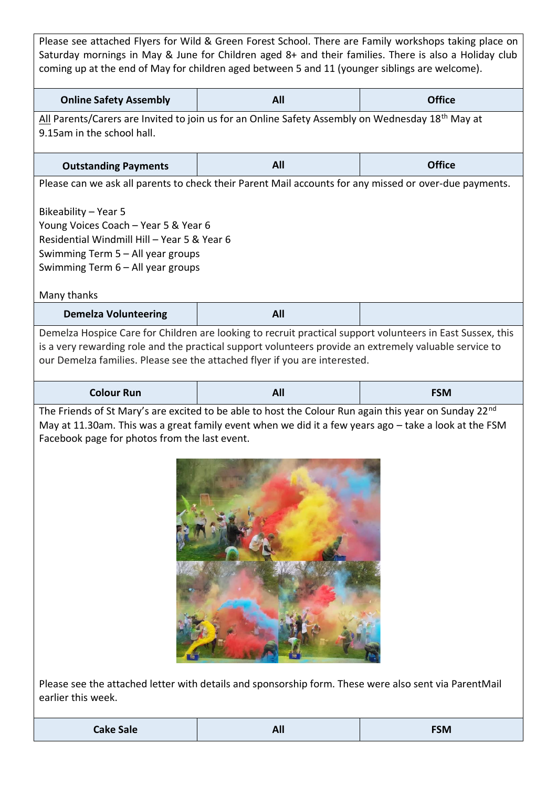| Please see attached Flyers for Wild & Green Forest School. There are Family workshops taking place on<br>Saturday mornings in May & June for Children aged 8+ and their families. There is also a Holiday club<br>coming up at the end of May for children aged between 5 and 11 (younger siblings are welcome).                                                                                           |     |               |  |  |  |
|------------------------------------------------------------------------------------------------------------------------------------------------------------------------------------------------------------------------------------------------------------------------------------------------------------------------------------------------------------------------------------------------------------|-----|---------------|--|--|--|
| <b>Online Safety Assembly</b>                                                                                                                                                                                                                                                                                                                                                                              | All | <b>Office</b> |  |  |  |
| All Parents/Carers are Invited to join us for an Online Safety Assembly on Wednesday 18 <sup>th</sup> May at<br>9.15am in the school hall.                                                                                                                                                                                                                                                                 |     |               |  |  |  |
| <b>Outstanding Payments</b>                                                                                                                                                                                                                                                                                                                                                                                | All | <b>Office</b> |  |  |  |
| Please can we ask all parents to check their Parent Mail accounts for any missed or over-due payments.<br>Bikeability - Year 5<br>Young Voices Coach - Year 5 & Year 6<br>Residential Windmill Hill - Year 5 & Year 6<br>Swimming Term 5 - All year groups<br>Swimming Term 6 - All year groups                                                                                                            |     |               |  |  |  |
| Many thanks<br><b>Demelza Volunteering</b>                                                                                                                                                                                                                                                                                                                                                                 | All |               |  |  |  |
| Demelza Hospice Care for Children are looking to recruit practical support volunteers in East Sussex, this<br>is a very rewarding role and the practical support volunteers provide an extremely valuable service to<br>our Demelza families. Please see the attached flyer if you are interested.                                                                                                         |     |               |  |  |  |
| <b>Colour Run</b>                                                                                                                                                                                                                                                                                                                                                                                          | All | <b>FSM</b>    |  |  |  |
| The Friends of St Mary's are excited to be able to host the Colour Run again this year on Sunday 22 <sup>nd</sup><br>May at 11.30am. This was a great family event when we did it a few years ago - take a look at the FSM<br>Facebook page for photos from the last event.<br>Please see the attached letter with details and sponsorship form. These were also sent via ParentMail<br>earlier this week. |     |               |  |  |  |

**Cake Sale All FSM**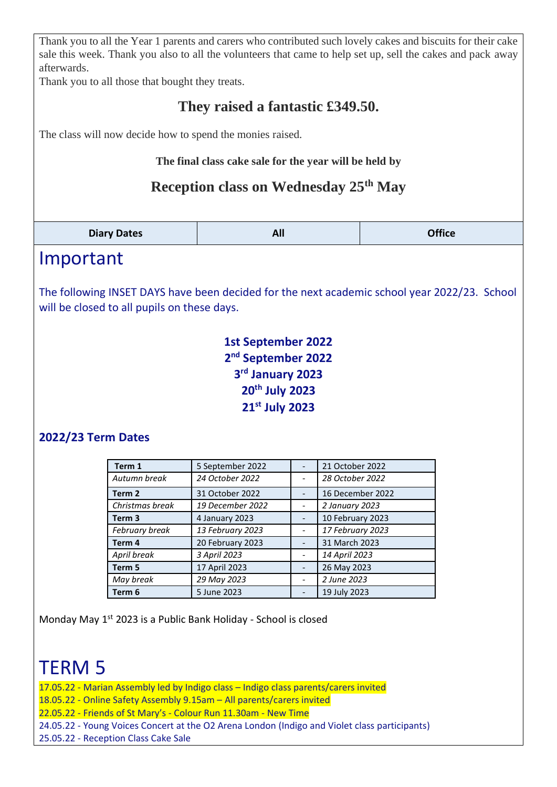Thank you to all the Year 1 parents and carers who contributed such lovely cakes and biscuits for their cake sale this week. Thank you also to all the volunteers that came to help set up, sell the cakes and pack away afterwards.

Thank you to all those that bought they treats.

### **They raised a fantastic £349.50.**

The class will now decide how to spend the monies raised.

**The final class cake sale for the year will be held by** 

#### **Reception class on Wednesday 25th May**

| <b>Office</b><br>All<br><b>Diary Dates</b> |
|--------------------------------------------|
|--------------------------------------------|

### Important

The following INSET DAYS have been decided for the next academic school year 2022/23. School will be closed to all pupils on these days.

> **1st September 2022 nd September 2022 rd January 2023 th July 2023 st July 2023**

#### **2022/23 Term Dates**

| Term 1            | 5 September 2022 | 21 October 2022  |
|-------------------|------------------|------------------|
| Autumn break      | 24 October 2022  | 28 October 2022  |
| Term <sub>2</sub> | 31 October 2022  | 16 December 2022 |
| Christmas break   | 19 December 2022 | 2 January 2023   |
| Term <sub>3</sub> | 4 January 2023   | 10 February 2023 |
| February break    | 13 February 2023 | 17 February 2023 |
| Term 4            | 20 February 2023 | 31 March 2023    |
| April break       | 3 April 2023     | 14 April 2023    |
| Term 5            | 17 April 2023    | 26 May 2023      |
| May break         | 29 May 2023      | 2 June 2023      |
| Term 6            | 5 June 2023      | 19 July 2023     |

Monday May 1<sup>st</sup> 2023 is a Public Bank Holiday - School is closed

## TERM 5

- 17.05.22 Marian Assembly led by Indigo class Indigo class parents/carers invited
- 18.05.22 Online Safety Assembly 9.15am All parents/carers invited

22.05.22 - Friends of St Mary's - Colour Run 11.30am - New Time

- 24.05.22 Young Voices Concert at the O2 Arena London (Indigo and Violet class participants)
- 25.05.22 Reception Class Cake Sale